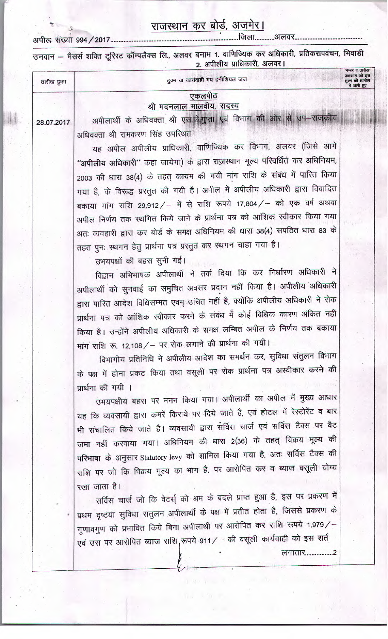## राजस्थान कर बोर्ड, अजमेर।

उनवान – मैसर्स शक्ति टूरिस्ट कॉम्पलैक्स लि., अलवर बनाम 1. वाणिज्यिक कर अधिकारी, प्रतिकरापवंचन, भिवाडी

|             | 2. अपीलीय प्राधिकारी, अलवर                                                            |                                                                |
|-------------|---------------------------------------------------------------------------------------|----------------------------------------------------------------|
| तारीख हुक्म | हुक्म या कार्यवाही मय इनीशियल जज                                                      | नम्बर व तारीख<br>अहकाम जो इस<br>हुक्म की तामील<br>में जारी हुए |
|             | एकलपीठ                                                                                |                                                                |
|             | श्री मदनलाल मालवीय, सदस्य                                                             |                                                                |
| 28.07.2017  | अपीलार्थी के अधिवक्ता श्री एस.के.गुप्ता एवं विभाग की ओर से उप-राजकीय                  |                                                                |
|             | अधिवक्ता श्री रामकरण सिंह उपस्थित।                                                    |                                                                |
|             | यह अपील अपीलीय प्राधिकारी, वाणिज्यिक कर विभाग, अलवर (जिसे आगे                         |                                                                |
|             | "अपीलीय अधिकारी" कहा जायेगा) के द्वारा राज़स्थान मूल्य परिवर्धित कर अधिनियम,          |                                                                |
|             | 2003 की धारा 38(4) के तहत् कायम की गयी मांग राशि के संबंध में पारित किया              |                                                                |
|             | गया है, के विरूद्ध प्रस्तुत की गयी है। अपील में अपीलीय अधिकारी द्वारा विवादित         |                                                                |
|             | बकाया मांग राशि 29,912/ – में से राशि रूपये 17,804/ – को एक वर्ष अथवा                 |                                                                |
|             | अपील निर्णय तक स्थगित किये जाने के प्रार्थना पत्र को आंशिक स्वीकार किया गया           |                                                                |
|             | अतः व्यवहारी द्वारा कर बोर्ड के समक्ष अधिनियम की धारा 38(4) सपठित धारा 83 के          | 15.7                                                           |
|             | तहत पुनः स्थगन हेतु प्रार्थना पत्र प्रस्तुत कर स्थगन चाहा गया है।                     |                                                                |
|             | उभयपक्षों की बहस सुनी गई।                                                             |                                                                |
|             | विद्वान अभिभाषक अपीलार्थी ने तर्क दिया कि कर निर्धारण अधिकारी ने                      |                                                                |
|             | अपीलार्थी को सुनवाई का समुचित अवसर प्रदान नहीं किया है। अपीलीय अधिकारी                |                                                                |
|             | द्वारा पारित आदेश विधिसम्मत एवम् उचित नहीं है, क्योंकि अपीलीय अधिकारी ने रोक          |                                                                |
|             | प्रार्थना पत्र को आंशिक स्वीकार करने के संबंध में कोई विधिक कारण अंकित नहीं           |                                                                |
|             | किया है। उन्होंने अपीलीय अधिकारी के समक्ष लम्बित अपील के निर्णय तक बकाया              |                                                                |
|             | मांग राशि रू. 12,108 / - पर रोक लगाने की प्रार्थना की गयी।                            |                                                                |
|             | विभागीय प्रतिनिधि ने अपीलीय आदेश का समर्थन कर, सुविधा संतुलन विभाग                    |                                                                |
|             | के पक्ष में होना प्रकट किया तथा वसूली पर रोक प्रार्थना पत्र अस्वीकार करने की          |                                                                |
|             |                                                                                       |                                                                |
|             | प्रार्थना की गयी ।<br>उभयपक्षीय बहस पर मनन किया गया। अपीलार्थी का अपील में मुख्य आधार |                                                                |
|             |                                                                                       |                                                                |
|             | यह कि व्यवसायी द्वारा कमरें किराये पर दिये जाते है, एवं होटल में रेस्टोरेंट व बार     |                                                                |
|             | भी संचालित किये जाते है। व्यवसायी द्वारा सर्विस चार्ज एवं सर्विस टैक्स पर वैट         |                                                                |
|             | जमा नहीं करवाया गया। अधिनियम की धारा 2(36) के तहत् विक्रय मूल्य की                    |                                                                |
|             | परिभाषा के अनुसार Statutory levy को शामिल किया गया है, अतः सर्विस टैक्स की            |                                                                |
|             | राशि पर जो कि विक्रय मूल्य का भाग है, पर आरोपित कर व ब्याज वसूली योग्य                |                                                                |
|             | रखा जाता है।                                                                          |                                                                |
|             | <del>िले कि बेचर्च को धूम के बदले पाप्त हुआ है, इ</del> स पर प्रकरण में               |                                                                |

सर्विस चार्ज जो कि वेटर्स् को श्रम के बदले प्रथम दृष्टया सुविधा संतुलन अपीलार्थी के पक्ष में प्रतीत होता है, जिससे प्रकरण के गुणावगुण को प्रभावित किये बिना अपीलार्थी पर आरोपित कर राशि रूपये 1,979/-एवं उस पर आरोपित ब्याज राशि,रूपये 911/ – की वसूली कार्यवाही को इस शर्त लगातार.....................2